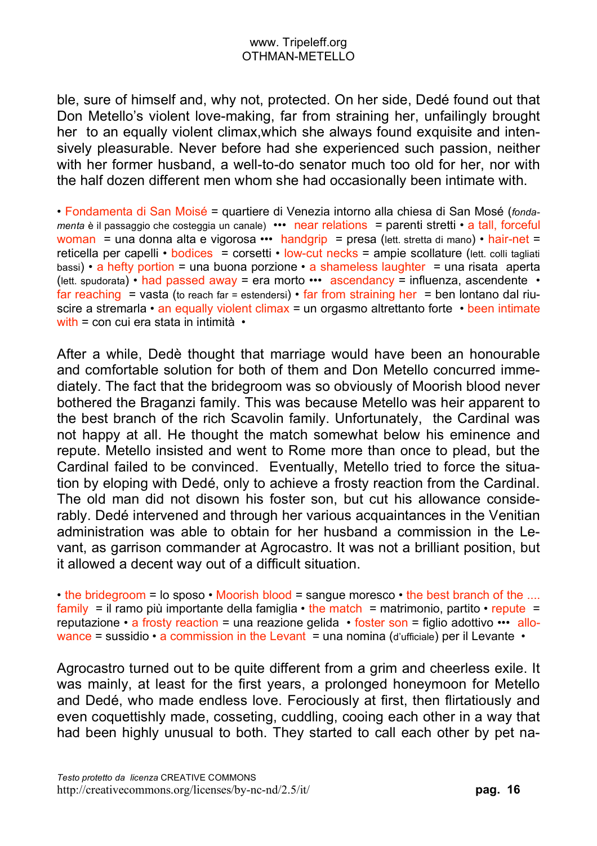ble, sure of himself and, why not, protected. On her side, Dedé found out that Don Metello's violent love-making, far from straining her, unfailingly brought her to an equally violent climax,which she always found exquisite and intensively pleasurable. Never before had she experienced such passion, neither with her former husband, a well-to-do senator much too old for her, nor with the half dozen different men whom she had occasionally been intimate with.

• Fondamenta di San Moisé = quartiere di Venezia intorno alla chiesa di San Mosé (*fondamenta* è il passaggio che costeggia un canale) ••• near relations = parenti stretti • a tall, forceful woman = una donna alta e vigorosa ••• handgrip = presa (lett. stretta di mano) • hair-net = reticella per capelli • bodices = corsetti • low-cut necks = ampie scollature (lett. colli tagliati bassi) • a hefty portion = una buona porzione • a shameless laughter = una risata aperta (lett. spudorata) • had passed away = era morto ••• ascendancy = influenza, ascendente • far reaching = vasta (to reach far = estendersi)  $\cdot$  far from straining her = ben lontano dal riuscire a stremarla • an equally violent climax = un orgasmo altrettanto forte • been intimate with = con cui era stata in intimità •

After a while, Dedè thought that marriage would have been an honourable and comfortable solution for both of them and Don Metello concurred immediately. The fact that the bridegroom was so obviously of Moorish blood never bothered the Braganzi family. This was because Metello was heir apparent to the best branch of the rich Scavolin family. Unfortunately, the Cardinal was not happy at all. He thought the match somewhat below his eminence and repute. Metello insisted and went to Rome more than once to plead, but the Cardinal failed to be convinced. Eventually, Metello tried to force the situation by eloping with Dedé, only to achieve a frosty reaction from the Cardinal. The old man did not disown his foster son, but cut his allowance considerably. Dedé intervened and through her various acquaintances in the Venitian administration was able to obtain for her husband a commission in the Levant, as garrison commander at Agrocastro. It was not a brilliant position, but it allowed a decent way out of a difficult situation.

• the bridegroom = lo sposo • Moorish blood = sangue moresco • the best branch of the .... family = il ramo più importante della famiglia • the match = matrimonio, partito • repute = reputazione • a frosty reaction = una reazione gelida • foster son = figlio adottivo ••• allowance = sussidio  $\cdot$  a commission in the Levant = una nomina (d'ufficiale) per il Levante  $\cdot$ 

Agrocastro turned out to be quite different from a grim and cheerless exile. It was mainly, at least for the first years, a prolonged honeymoon for Metello and Dedé, who made endless love. Ferociously at first, then flirtatiously and even coquettishly made, cosseting, cuddling, cooing each other in a way that had been highly unusual to both. They started to call each other by pet na-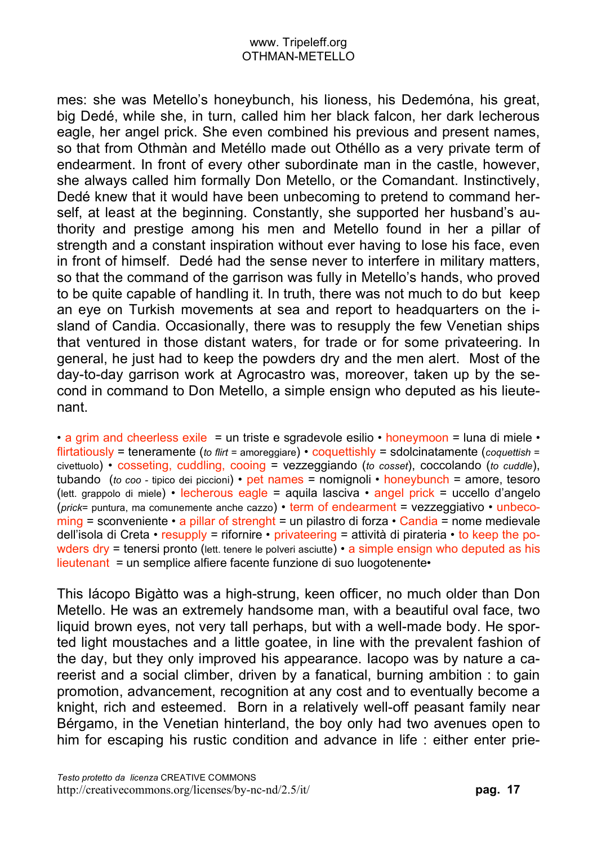mes: she was Metello's honeybunch, his lioness, his Dedemóna, his great, big Dedé, while she, in turn, called him her black falcon, her dark lecherous eagle, her angel prick. She even combined his previous and present names, so that from Othmàn and Metéllo made out Othéllo as a very private term of endearment. In front of every other subordinate man in the castle, however, she always called him formally Don Metello, or the Comandant. Instinctively, Dedé knew that it would have been unbecoming to pretend to command herself, at least at the beginning. Constantly, she supported her husband's authority and prestige among his men and Metello found in her a pillar of strength and a constant inspiration without ever having to lose his face, even in front of himself. Dedé had the sense never to interfere in military matters, so that the command of the garrison was fully in Metello's hands, who proved to be quite capable of handling it. In truth, there was not much to do but keep an eye on Turkish movements at sea and report to headquarters on the island of Candia. Occasionally, there was to resupply the few Venetian ships that ventured in those distant waters, for trade or for some privateering. In general, he just had to keep the powders dry and the men alert. Most of the day-to-day garrison work at Agrocastro was, moreover, taken up by the second in command to Don Metello, a simple ensign who deputed as his lieutenant.

• a grim and cheerless exile = un triste e sgradevole esilio • honeymoon = luna di miele • flirtatiously = teneramente (*to flirt* = amoreggiare) • coquettishly = sdolcinatamente (*coquettish* = civettuolo) • cosseting, cuddling, cooing = vezzeggiando (*to cosset*), coccolando (*to cuddle*), tubando (*to coo -* tipico dei piccioni) • pet names = nomignoli • honeybunch = amore, tesoro (lett. grappolo di miele) • lecherous eagle = aquila lasciva • angel prick = uccello d'angelo (*prick*= puntura, ma comunemente anche cazzo) • term of endearment = vezzeggiativo • unbeco $ming = s$ conveniente • a pillar of strenght = un pilastro di forza • Candia = nome medievale dell'isola di Creta • resupply = rifornire • privateering = attività di pirateria • to keep the powders dry = tenersi pronto (lett. tenere le polveri asciutte) • a simple ensign who deputed as his lieutenant = un semplice alfiere facente funzione di suo luogotenente•

This Iácopo Bigàtto was a high-strung, keen officer, no much older than Don Metello. He was an extremely handsome man, with a beautiful oval face, two liquid brown eyes, not very tall perhaps, but with a well-made body. He sported light moustaches and a little goatee, in line with the prevalent fashion of the day, but they only improved his appearance. Iacopo was by nature a careerist and a social climber, driven by a fanatical, burning ambition : to gain promotion, advancement, recognition at any cost and to eventually become a knight, rich and esteemed. Born in a relatively well-off peasant family near Bérgamo, in the Venetian hinterland, the boy only had two avenues open to him for escaping his rustic condition and advance in life : either enter prie-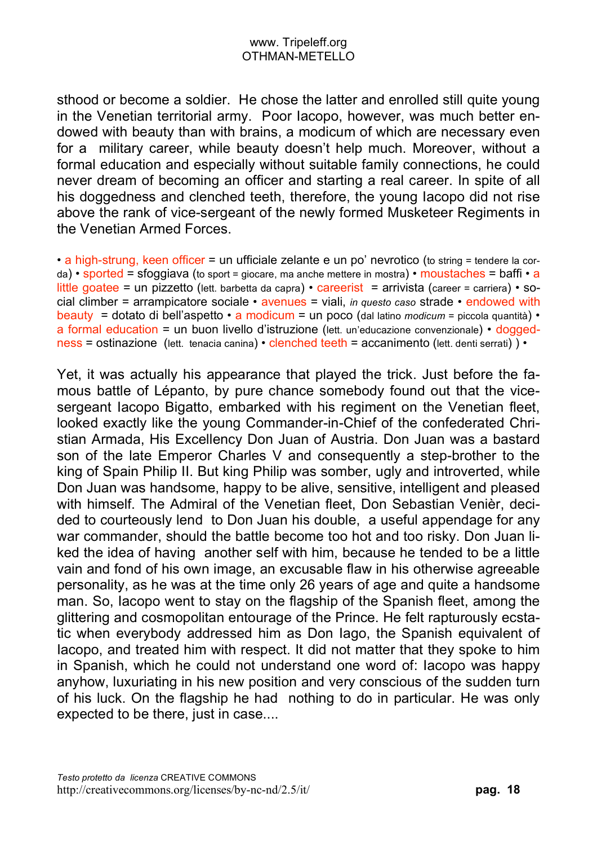sthood or become a soldier. He chose the latter and enrolled still quite young in the Venetian territorial army. Poor Iacopo, however, was much better endowed with beauty than with brains, a modicum of which are necessary even for a military career, while beauty doesn't help much. Moreover, without a formal education and especially without suitable family connections, he could never dream of becoming an officer and starting a real career. In spite of all his doggedness and clenched teeth, therefore, the young Iacopo did not rise above the rank of vice-sergeant of the newly formed Musketeer Regiments in the Venetian Armed Forces.

• a high-strung, keen officer = un ufficiale zelante e un po' nevrotico (to string = tendere la corda) • sported = sfoggiava (to sport = giocare, ma anche mettere in mostra) • moustaches = baffi • a little goatee = un pizzetto (lett. barbetta da capra) • careerist = arrivista (career = carriera) • social climber = arrampicatore sociale • avenues = viali, *in questo caso* strade • endowed with beauty = dotato di bell'aspetto • a modicum = un poco (dal latino *modicum* = piccola quantità) • a formal education = un buon livello d'istruzione (lett. un'educazione convenzionale) • doggedness = ostinazione (lett. tenacia canina) • clenched teeth = accanimento (lett. denti serrati) ) •

Yet, it was actually his appearance that played the trick. Just before the famous battle of Lépanto, by pure chance somebody found out that the vicesergeant Iacopo Bigatto, embarked with his regiment on the Venetian fleet, looked exactly like the young Commander-in-Chief of the confederated Christian Armada, His Excellency Don Juan of Austria. Don Juan was a bastard son of the late Emperor Charles V and consequently a step-brother to the king of Spain Philip II. But king Philip was somber, ugly and introverted, while Don Juan was handsome, happy to be alive, sensitive, intelligent and pleased with himself. The Admiral of the Venetian fleet, Don Sebastian Venièr, decided to courteously lend to Don Juan his double, a useful appendage for any war commander, should the battle become too hot and too risky. Don Juan liked the idea of having another self with him, because he tended to be a little vain and fond of his own image, an excusable flaw in his otherwise agreeable personality, as he was at the time only 26 years of age and quite a handsome man. So, Iacopo went to stay on the flagship of the Spanish fleet, among the glittering and cosmopolitan entourage of the Prince. He felt rapturously ecstatic when everybody addressed him as Don Iago, the Spanish equivalent of Iacopo, and treated him with respect. It did not matter that they spoke to him in Spanish, which he could not understand one word of: Iacopo was happy anyhow, luxuriating in his new position and very conscious of the sudden turn of his luck. On the flagship he had nothing to do in particular. He was only expected to be there, just in case....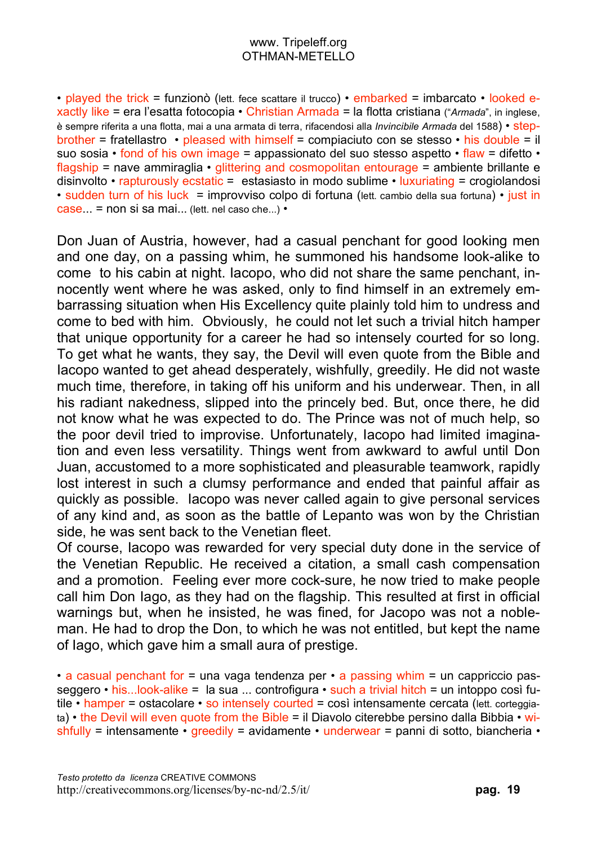• played the trick = funzionò (lett. fece scattare il trucco) • embarked = imbarcato • looked exactly like = era l'esatta fotocopia • Christian Armada = la flotta cristiana ("*Armada*", in inglese, è sempre riferita a una flotta, mai a una armata di terra, rifacendosi alla *Invincibile Armada* del 1588) • stepbrother = fratellastro • pleased with himself = compiaciuto con se stesso • his double = il suo sosia • fond of his own image = appassionato del suo stesso aspetto • flaw = difetto • flagship = nave ammiraglia • glittering and cosmopolitan entourage = ambiente brillante e disinvolto • rapturously ecstatic = estasiasto in modo sublime • luxuriating = crogiolandosi • sudden turn of his luck = improvviso colpo di fortuna (lett. cambio della sua fortuna) • just in case... = non si sa mai... (lett. nel caso che...) •

Don Juan of Austria, however, had a casual penchant for good looking men and one day, on a passing whim, he summoned his handsome look-alike to come to his cabin at night. Iacopo, who did not share the same penchant, innocently went where he was asked, only to find himself in an extremely embarrassing situation when His Excellency quite plainly told him to undress and come to bed with him. Obviously, he could not let such a trivial hitch hamper that unique opportunity for a career he had so intensely courted for so long. To get what he wants, they say, the Devil will even quote from the Bible and Iacopo wanted to get ahead desperately, wishfully, greedily. He did not waste much time, therefore, in taking off his uniform and his underwear. Then, in all his radiant nakedness, slipped into the princely bed. But, once there, he did not know what he was expected to do. The Prince was not of much help, so the poor devil tried to improvise. Unfortunately, Iacopo had limited imagination and even less versatility. Things went from awkward to awful until Don Juan, accustomed to a more sophisticated and pleasurable teamwork, rapidly lost interest in such a clumsy performance and ended that painful affair as quickly as possible. Iacopo was never called again to give personal services of any kind and, as soon as the battle of Lepanto was won by the Christian side, he was sent back to the Venetian fleet.

Of course, Iacopo was rewarded for very special duty done in the service of the Venetian Republic. He received a citation, a small cash compensation and a promotion. Feeling ever more cock-sure, he now tried to make people call him Don Iago, as they had on the flagship. This resulted at first in official warnings but, when he insisted, he was fined, for Jacopo was not a nobleman. He had to drop the Don, to which he was not entitled, but kept the name of Iago, which gave him a small aura of prestige.

• a casual penchant for  $=$  una vaga tendenza per • a passing whim  $=$  un cappriccio passeggero • his...look-alike = la sua ... controfigura • such a trivial hitch = un intoppo così futile • hamper = ostacolare • so intensely courted = così intensamente cercata (lett. corteggiata) • the Devil will even quote from the Bible = il Diavolo citerebbe persino dalla Bibbia • wishfully = intensamente • greedily = avidamente • underwear = panni di sotto, biancheria •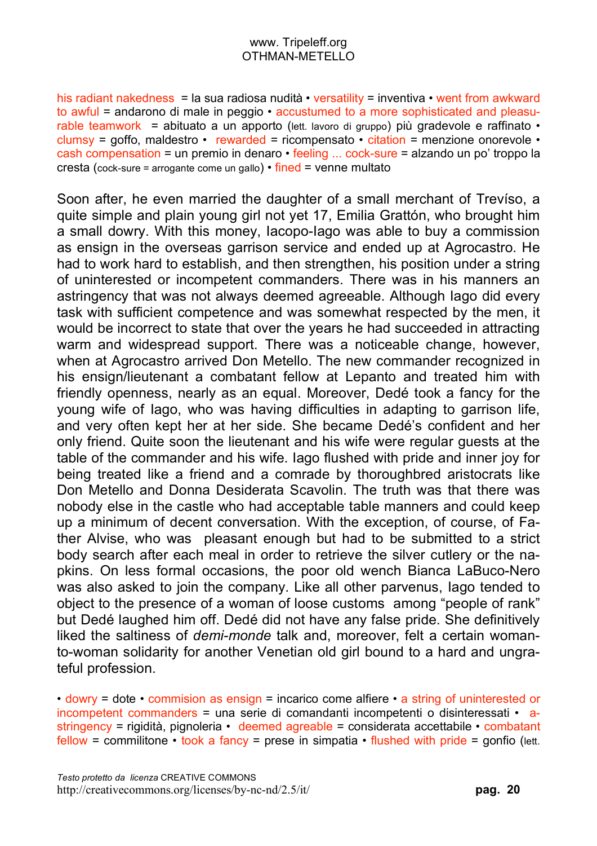his radiant nakedness = la sua radiosa nudità • versatility = inventiva • went from awkward to awful = andarono di male in peggio • accustumed to a more sophisticated and pleasurable teamwork = abituato a un apporto (lett. lavoro di gruppo) più gradevole e raffinato  $\cdot$ clumsy = goffo, maldestro • rewarded = ricompensato • citation = menzione onorevole • cash compensation = un premio in denaro • feeling ... cock-sure = alzando un po' troppo la cresta (cock-sure = arrogante come un gallo) • fined = venne multato

Soon after, he even married the daughter of a small merchant of Trevíso, a quite simple and plain young girl not yet 17, Emilia Grattón, who brought him a small dowry. With this money, Iacopo-Iago was able to buy a commission as ensign in the overseas garrison service and ended up at Agrocastro. He had to work hard to establish, and then strengthen, his position under a string of uninterested or incompetent commanders. There was in his manners an astringency that was not always deemed agreeable. Although Iago did every task with sufficient competence and was somewhat respected by the men, it would be incorrect to state that over the years he had succeeded in attracting warm and widespread support. There was a noticeable change, however, when at Agrocastro arrived Don Metello. The new commander recognized in his ensign/lieutenant a combatant fellow at Lepanto and treated him with friendly openness, nearly as an equal. Moreover, Dedé took a fancy for the young wife of Iago, who was having difficulties in adapting to garrison life, and very often kept her at her side. She became Dedé's confident and her only friend. Quite soon the lieutenant and his wife were regular guests at the table of the commander and his wife. Iago flushed with pride and inner joy for being treated like a friend and a comrade by thoroughbred aristocrats like Don Metello and Donna Desiderata Scavolin. The truth was that there was nobody else in the castle who had acceptable table manners and could keep up a minimum of decent conversation. With the exception, of course, of Father Alvise, who was pleasant enough but had to be submitted to a strict body search after each meal in order to retrieve the silver cutlery or the napkins. On less formal occasions, the poor old wench Bianca LaBuco-Nero was also asked to join the company. Like all other parvenus, Iago tended to object to the presence of a woman of loose customs among "people of rank" but Dedé laughed him off. Dedé did not have any false pride. She definitively liked the saltiness of *demi-monde* talk and, moreover, felt a certain womanto-woman solidarity for another Venetian old girl bound to a hard and ungrateful profession.

• dowry = dote • commision as ensign = incarico come alfiere • a string of uninterested or incompetent commanders = una serie di comandanti incompetenti o disinteressati • astringency = rigidità, pignoleria • deemed agreable = considerata accettabile • combatant fellow = commilitone  $\cdot$  took a fancy = prese in simpatia  $\cdot$  flushed with pride = gonfio (lett.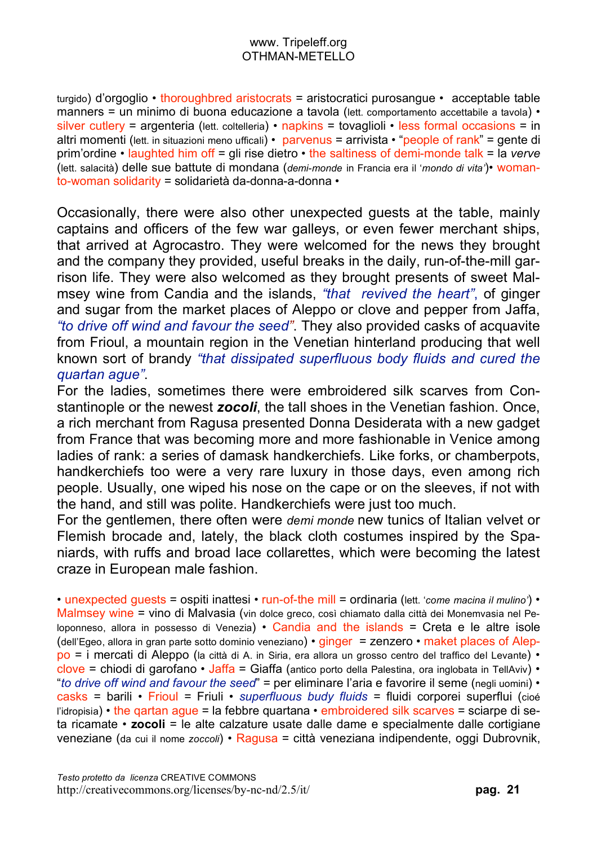turgido) d'orgoglio • thoroughbred aristocrats = aristocratici purosangue • acceptable table manners = un minimo di buona educazione a tavola (lett. comportamento accettabile a tavola) • silver cutlery = argenteria (lett. coltelleria) • napkins = tovaglioli • less formal occasions = in altri momenti (lett. in situazioni meno ufficali) • parvenus = arrivista • "people of rank" = gente di prim'ordine • laughted him off = gli rise dietro • the saltiness of demi-monde talk = la *verve* (lett. salacità) delle sue battute di mondana (*demi-monde* in Francia era il '*mondo di vita'*)• womanto-woman solidarity = solidarietà da-donna-a-donna •

Occasionally, there were also other unexpected guests at the table, mainly captains and officers of the few war galleys, or even fewer merchant ships, that arrived at Agrocastro. They were welcomed for the news they brought and the company they provided, useful breaks in the daily, run-of-the-mill garrison life. They were also welcomed as they brought presents of sweet Malmsey wine from Candia and the islands, *"that revived the heart"*, of ginger and sugar from the market places of Aleppo or clove and pepper from Jaffa, *"to drive off wind and favour the seed"*. They also provided casks of acquavite from Frioul, a mountain region in the Venetian hinterland producing that well known sort of brandy *"that dissipated superfluous body fluids and cured the quartan ague"*.

For the ladies, sometimes there were embroidered silk scarves from Constantinople or the newest *zocoli*, the tall shoes in the Venetian fashion. Once, a rich merchant from Ragusa presented Donna Desiderata with a new gadget from France that was becoming more and more fashionable in Venice among ladies of rank: a series of damask handkerchiefs. Like forks, or chamberpots, handkerchiefs too were a very rare luxury in those days, even among rich people. Usually, one wiped his nose on the cape or on the sleeves, if not with the hand, and still was polite. Handkerchiefs were just too much.

For the gentlemen, there often were *demi monde* new tunics of Italian velvet or Flemish brocade and, lately, the black cloth costumes inspired by the Spaniards, with ruffs and broad lace collarettes, which were becoming the latest craze in European male fashion.

• unexpected guests = ospiti inattesi • run-of-the mill = ordinaria (lett. '*come macina il mulino'*) • Malmsey wine = vino di Malvasia (vin dolce greco, così chiamato dalla città dei Monemvasia nel Peloponneso, allora in possesso di Venezia) • Candia and the islands = Creta e le altre isole (dell'Egeo, allora in gran parte sotto dominio veneziano) • ginger = zenzero • maket places of Aleppo = i mercati di Aleppo (la città di A. in Siria, era allora un grosso centro del traffico del Levante) • clove = chiodi di garofano • Jaffa = Giaffa (antico porto della Palestina, ora inglobata in TellAviv) • "*to drive off wind and favour the seed*" = per eliminare l'aria e favorire il seme (negli uomini) • casks = barili • Frioul = Friuli • *superfluous budy fluids* = fluidi corporei superflui (cioé l'idropisia) • the gartan ague = la febbre quartana • embroidered silk scarves = sciarpe di seta ricamate • **zocoli** = le alte calzature usate dalle dame e specialmente dalle cortigiane veneziane (da cui il nome *zoccoli*) • Ragusa = città veneziana indipendente, oggi Dubrovnik,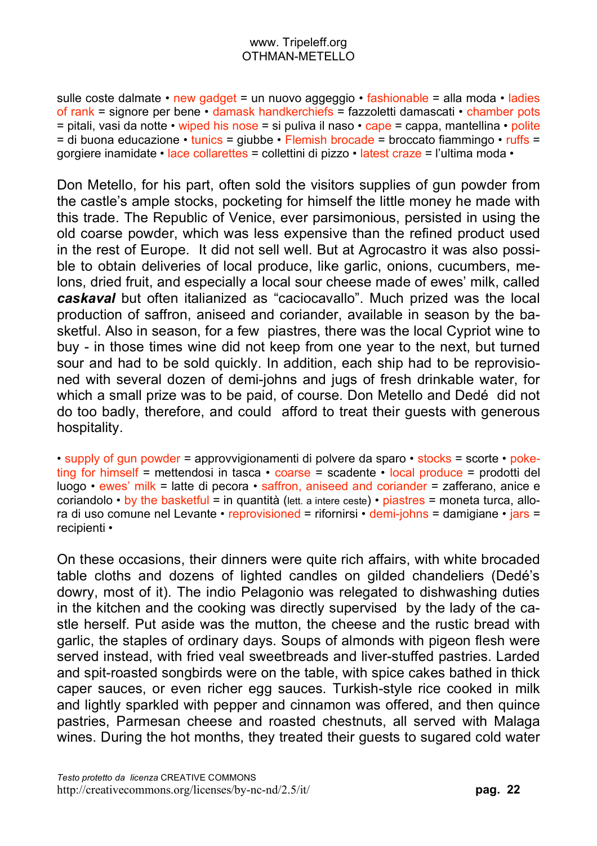sulle coste dalmate • new gadget = un nuovo aggeggio • fashionable = alla moda • ladies of rank = signore per bene  $\cdot$  damask handkerchiefs = fazzoletti damascati  $\cdot$  chamber pots  $=$  pitali, vasi da notte • wiped his nose = si puliva il naso • cape = cappa, mantellina • polite  $=$  di buona educazione  $\cdot$  tunics = giubbe  $\cdot$  Flemish brocade = broccato fiammingo  $\cdot$  ruffs = gorgiere inamidate • lace collarettes = collettini di pizzo • latest craze = l'ultima moda •

Don Metello, for his part, often sold the visitors supplies of gun powder from the castle's ample stocks, pocketing for himself the little money he made with this trade. The Republic of Venice, ever parsimonious, persisted in using the old coarse powder, which was less expensive than the refined product used in the rest of Europe. It did not sell well. But at Agrocastro it was also possible to obtain deliveries of local produce, like garlic, onions, cucumbers, melons, dried fruit, and especially a local sour cheese made of ewes' milk, called *caskaval* but often italianized as "caciocavallo". Much prized was the local production of saffron, aniseed and coriander, available in season by the basketful. Also in season, for a few piastres, there was the local Cypriot wine to buy - in those times wine did not keep from one year to the next, but turned sour and had to be sold quickly. In addition, each ship had to be reprovisioned with several dozen of demi-johns and jugs of fresh drinkable water, for which a small prize was to be paid, of course. Don Metello and Dedé did not do too badly, therefore, and could afford to treat their guests with generous hospitality.

• supply of gun powder = approvvigionamenti di polvere da sparo • stocks = scorte • poketing for himself = mettendosi in tasca • coarse = scadente • local produce = prodotti del luogo • ewes' milk = latte di pecora • saffron, aniseed and coriander = zafferano, anice e coriandolo • by the basketful = in quantità (lett. a intere ceste) • piastres = moneta turca, allora di uso comune nel Levante • reprovisioned = rifornirsi • demi-johns = damigiane • jars = recipienti •

On these occasions, their dinners were quite rich affairs, with white brocaded table cloths and dozens of lighted candles on gilded chandeliers (Dedé's dowry, most of it). The indio Pelagonio was relegated to dishwashing duties in the kitchen and the cooking was directly supervised by the lady of the castle herself. Put aside was the mutton, the cheese and the rustic bread with garlic, the staples of ordinary days. Soups of almonds with pigeon flesh were served instead, with fried veal sweetbreads and liver-stuffed pastries. Larded and spit-roasted songbirds were on the table, with spice cakes bathed in thick caper sauces, or even richer egg sauces. Turkish-style rice cooked in milk and lightly sparkled with pepper and cinnamon was offered, and then quince pastries, Parmesan cheese and roasted chestnuts, all served with Malaga wines. During the hot months, they treated their guests to sugared cold water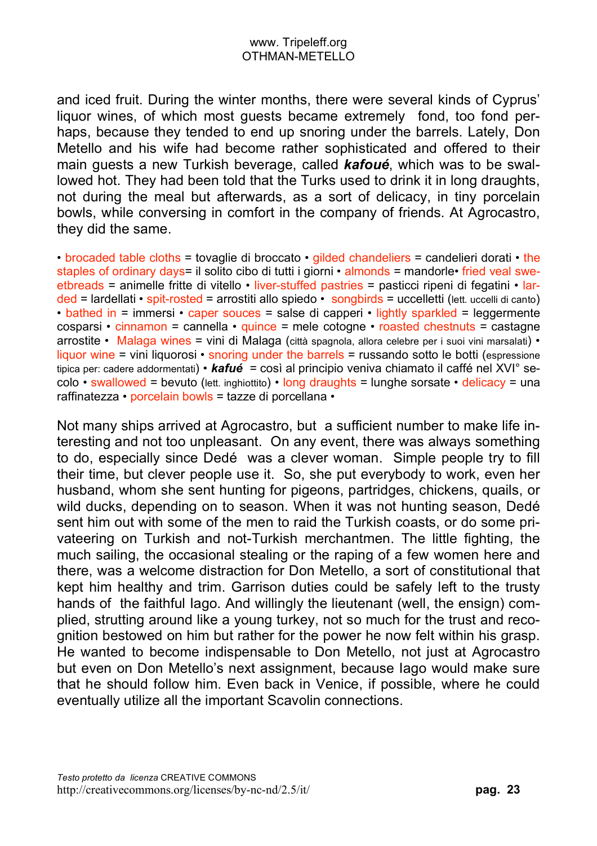and iced fruit. During the winter months, there were several kinds of Cyprus' liquor wines, of which most guests became extremely fond, too fond perhaps, because they tended to end up snoring under the barrels. Lately, Don Metello and his wife had become rather sophisticated and offered to their main guests a new Turkish beverage, called *kafoué*, which was to be swallowed hot. They had been told that the Turks used to drink it in long draughts, not during the meal but afterwards, as a sort of delicacy, in tiny porcelain bowls, while conversing in comfort in the company of friends. At Agrocastro, they did the same.

• brocaded table cloths = tovaglie di broccato • gilded chandeliers = candelieri dorati • the staples of ordinary days= il solito cibo di tutti i giorni • almonds = mandorle• fried veal sweetbreads = animelle fritte di vitello • liver-stuffed pastries = pasticci ripeni di fegatini • larded = lardellati • spit-rosted = arrostiti allo spiedo • songbirds = uccelletti (lett. uccelli di canto) • bathed in = immersi • caper souces = salse di capperi • lightly sparkled = leggermente cosparsi • cinnamon = cannella • quince = mele cotogne • roasted chestnuts = castagne arrostite • Malaga wines = vini di Malaga (città spagnola, allora celebre per i suoi vini marsalati) • liquor wine = vini liquorosi • snoring under the barrels = russando sotto le botti (espressione tipica per: cadere addormentati) • *kafué* = così al principio veniva chiamato il caffé nel XVI° secolo • swallowed = bevuto (lett. inghiottito) • long draughts = lunghe sorsate • delicacy = una raffinatezza • porcelain bowls = tazze di porcellana •

Not many ships arrived at Agrocastro, but a sufficient number to make life interesting and not too unpleasant. On any event, there was always something to do, especially since Dedé was a clever woman. Simple people try to fill their time, but clever people use it. So, she put everybody to work, even her husband, whom she sent hunting for pigeons, partridges, chickens, quails, or wild ducks, depending on to season. When it was not hunting season, Dedé sent him out with some of the men to raid the Turkish coasts, or do some privateering on Turkish and not-Turkish merchantmen. The little fighting, the much sailing, the occasional stealing or the raping of a few women here and there, was a welcome distraction for Don Metello, a sort of constitutional that kept him healthy and trim. Garrison duties could be safely left to the trusty hands of the faithful Iago. And willingly the lieutenant (well, the ensign) complied, strutting around like a young turkey, not so much for the trust and recognition bestowed on him but rather for the power he now felt within his grasp. He wanted to become indispensable to Don Metello, not just at Agrocastro but even on Don Metello's next assignment, because Iago would make sure that he should follow him. Even back in Venice, if possible, where he could eventually utilize all the important Scavolin connections.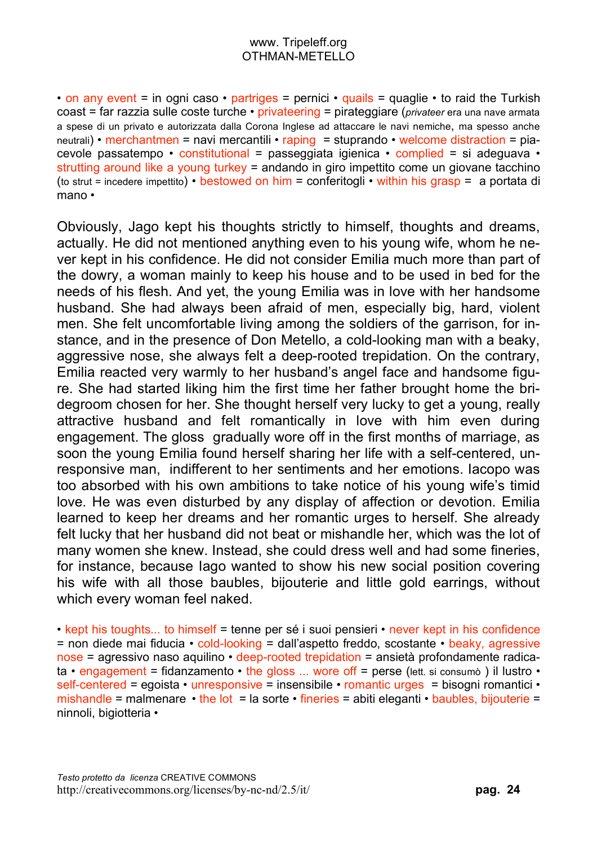• on any event = in ogni caso • partriges = pernici • quails = quaglie • to raid the Turkish coast = far razzia sulle coste turche • privateering = pirateggiare (*privateer* era una nave armata a spese di un privato e autorizzata dalla Corona Inglese ad attaccare le navi nemiche, ma spesso anche neutrali) • merchantmen = navi mercantili • raping = stuprando • welcome distraction = piacevole passatempo • constitutional = passeggiata igienica • complied = si adeguava • strutting around like a young turkey = andando in giro impettito come un giovane tacchino (to strut = incedere impettito) • bestowed on him = conferitogli • within his grasp = a portata di mano •

Obviously, Jago kept his thoughts strictly to himself, thoughts and dreams, actually. He did not mentioned anything even to his young wife, whom he never kept in his confidence. He did not consider Emilia much more than part of the dowry, a woman mainly to keep his house and to be used in bed for the needs of his flesh. And yet, the young Emilia was in love with her handsome husband. She had always been afraid of men, especially big, hard, violent men. She felt uncomfortable living among the soldiers of the garrison, for instance, and in the presence of Don Metello, a cold-looking man with a beaky, aggressive nose, she always felt a deep-rooted trepidation. On the contrary, Emilia reacted very warmly to her husband's angel face and handsome figure. She had started liking him the first time her father brought home the bridegroom chosen for her. She thought herself very lucky to get a young, really attractive husband and felt romantically in love with him even during engagement. The gloss gradually wore off in the first months of marriage, as soon the young Emilia found herself sharing her life with a self-centered, unresponsive man, indifferent to her sentiments and her emotions. Iacopo was too absorbed with his own ambitions to take notice of his young wife's timid love. He was even disturbed by any display of affection or devotion. Emilia learned to keep her dreams and her romantic urges to herself. She already felt lucky that her husband did not beat or mishandle her, which was the lot of many women she knew. Instead, she could dress well and had some fineries, for instance, because Iago wanted to show his new social position covering his wife with all those baubles, bijouterie and little gold earrings, without which every woman feel naked.

• kept his toughts... to himself = tenne per sé i suoi pensieri • never kept in his confidence = non diede mai fiducia • cold-looking = dall'aspetto freddo, scostante • beaky, agressive nose = agressivo naso aquilino • deep-rooted trepidation = ansietà profondamente radicata • engagement = fidanzamento • the gloss ... wore off = perse (lett. si consumò ) il lustro • self-centered = egoista • unresponsive = insensibile • romantic urges = bisogni romantici • mishandle = malmenare • the lot = la sorte • fineries = abiti eleganti • baubles, bijouterie = ninnoli, bigiotteria •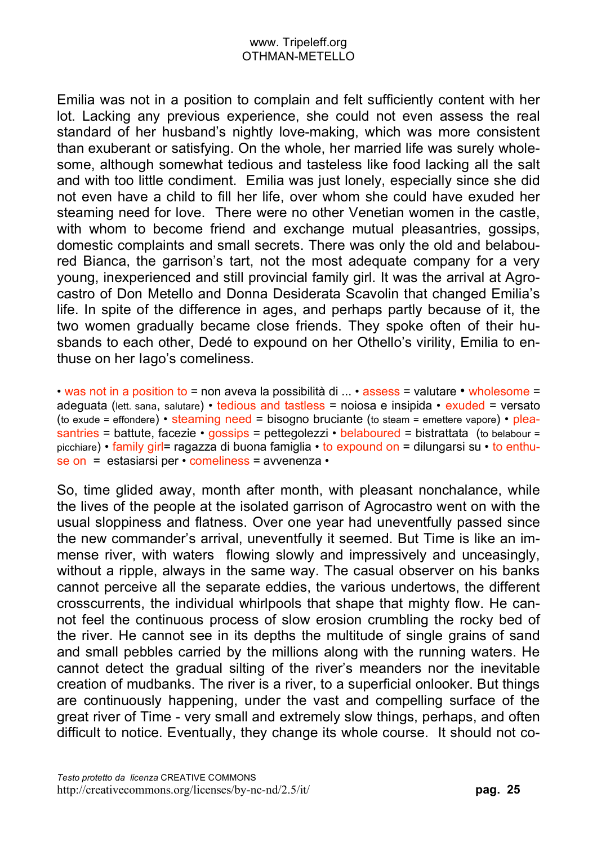Emilia was not in a position to complain and felt sufficiently content with her lot. Lacking any previous experience, she could not even assess the real standard of her husband's nightly love-making, which was more consistent than exuberant or satisfying. On the whole, her married life was surely wholesome, although somewhat tedious and tasteless like food lacking all the salt and with too little condiment. Emilia was just lonely, especially since she did not even have a child to fill her life, over whom she could have exuded her steaming need for love. There were no other Venetian women in the castle, with whom to become friend and exchange mutual pleasantries, gossips, domestic complaints and small secrets. There was only the old and belaboured Bianca, the garrison's tart, not the most adequate company for a very young, inexperienced and still provincial family girl. It was the arrival at Agrocastro of Don Metello and Donna Desiderata Scavolin that changed Emilia's life. In spite of the difference in ages, and perhaps partly because of it, the two women gradually became close friends. They spoke often of their husbands to each other, Dedé to expound on her Othello's virility, Emilia to enthuse on her Iago's comeliness.

• was not in a position to = non aveva la possibilità di ... • assess = valutare • wholesome = adeguata (lett. sana, salutare) • tedious and tastless = noiosa e insipida • exuded = versato (to exude = effondere) • steaming need = bisogno bruciante (to steam = emettere vapore) • pleasantries = battute, facezie • gossips = pettegolezzi • belaboured = bistrattata (to belabour = picchiare) • family girl= ragazza di buona famiglia • to expound on = dilungarsi su • to enthuse on = estasiarsi per • comeliness = avvenenza •

So, time glided away, month after month, with pleasant nonchalance, while the lives of the people at the isolated garrison of Agrocastro went on with the usual sloppiness and flatness. Over one year had uneventfully passed since the new commander's arrival, uneventfully it seemed. But Time is like an immense river, with waters flowing slowly and impressively and unceasingly, without a ripple, always in the same way. The casual observer on his banks cannot perceive all the separate eddies, the various undertows, the different crosscurrents, the individual whirlpools that shape that mighty flow. He cannot feel the continuous process of slow erosion crumbling the rocky bed of the river. He cannot see in its depths the multitude of single grains of sand and small pebbles carried by the millions along with the running waters. He cannot detect the gradual silting of the river's meanders nor the inevitable creation of mudbanks. The river is a river, to a superficial onlooker. But things are continuously happening, under the vast and compelling surface of the great river of Time - very small and extremely slow things, perhaps, and often difficult to notice. Eventually, they change its whole course. It should not co-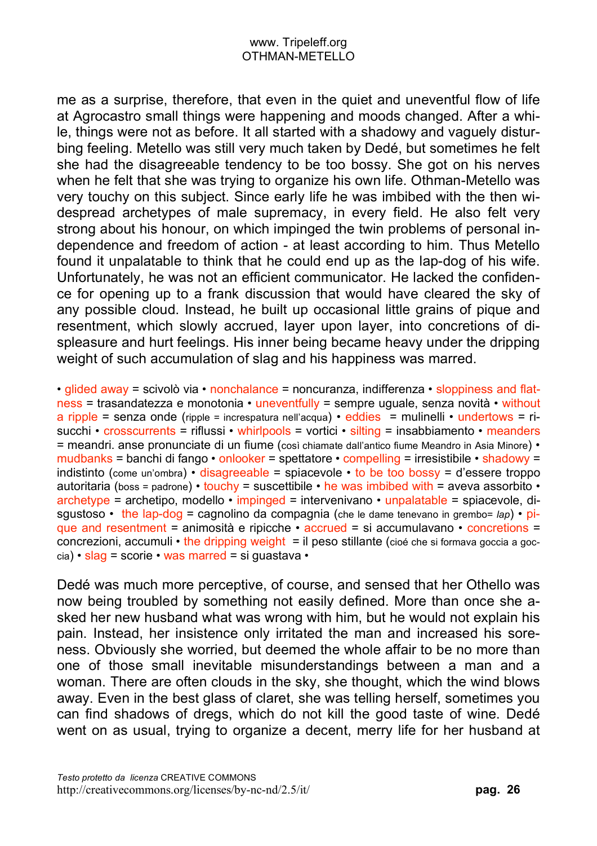me as a surprise, therefore, that even in the quiet and uneventful flow of life at Agrocastro small things were happening and moods changed. After a while, things were not as before. It all started with a shadowy and vaguely disturbing feeling. Metello was still very much taken by Dedé, but sometimes he felt she had the disagreeable tendency to be too bossy. She got on his nerves when he felt that she was trying to organize his own life. Othman-Metello was very touchy on this subject. Since early life he was imbibed with the then widespread archetypes of male supremacy, in every field. He also felt very strong about his honour, on which impinged the twin problems of personal independence and freedom of action - at least according to him. Thus Metello found it unpalatable to think that he could end up as the lap-dog of his wife. Unfortunately, he was not an efficient communicator. He lacked the confidence for opening up to a frank discussion that would have cleared the sky of any possible cloud. Instead, he built up occasional little grains of pique and resentment, which slowly accrued, layer upon layer, into concretions of displeasure and hurt feelings. His inner being became heavy under the dripping weight of such accumulation of slag and his happiness was marred.

• glided away = scivolò via • nonchalance = noncuranza, indifferenza • sloppiness and flatness = trasandatezza e monotonia • uneventfully = sempre uguale, senza novità • without a ripple = senza onde (ripple = increspatura nell'acqua) • eddies = mulinelli • undertows = risucchi • crosscurrents = riflussi • whirlpools = vortici • silting = insabbiamento • meanders = meandri. anse pronunciate di un fiume (così chiamate dall'antico fiume Meandro in Asia Minore) • mudbanks = banchi di fango • onlooker = spettatore • compelling = irresistibile • shadowy = indistinto (come un'ombra) • disagreeable = spiacevole • to be too bossy = d'essere troppo autoritaria (boss = padrone) • touchy = suscettibile • he was imbibed with = aveva assorbito • archetype = archetipo, modello • impinged = intervenivano • unpalatable = spiacevole, disgustoso • the lap-dog = cagnolino da compagnia (che le dame tenevano in grembo= *lap*) • pique and resentment = animosità e ripicche • accrued = si accumulavano • concretions = concrezioni, accumuli  $\cdot$  the dripping weight = il peso stillante (cioé che si formava goccia a goc $cia)$  • slag = scorie • was marred = si guastava •

Dedé was much more perceptive, of course, and sensed that her Othello was now being troubled by something not easily defined. More than once she asked her new husband what was wrong with him, but he would not explain his pain. Instead, her insistence only irritated the man and increased his soreness. Obviously she worried, but deemed the whole affair to be no more than one of those small inevitable misunderstandings between a man and a woman. There are often clouds in the sky, she thought, which the wind blows away. Even in the best glass of claret, she was telling herself, sometimes you can find shadows of dregs, which do not kill the good taste of wine. Dedé went on as usual, trying to organize a decent, merry life for her husband at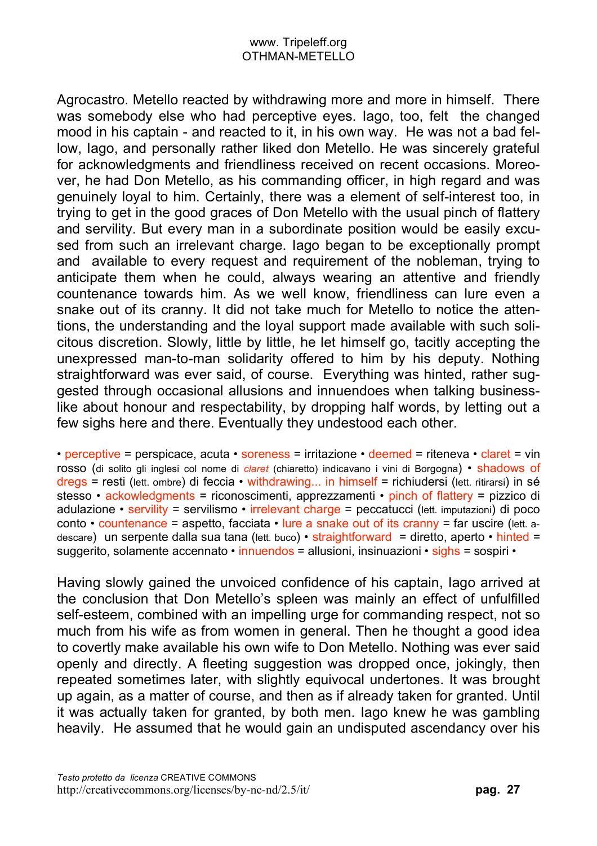Agrocastro. Metello reacted by withdrawing more and more in himself. There was somebody else who had perceptive eyes. Iago, too, felt the changed mood in his captain - and reacted to it, in his own way. He was not a bad fellow, Iago, and personally rather liked don Metello. He was sincerely grateful for acknowledgments and friendliness received on recent occasions. Moreover, he had Don Metello, as his commanding officer, in high regard and was genuinely loyal to him. Certainly, there was a element of self-interest too, in trying to get in the good graces of Don Metello with the usual pinch of flattery and servility. But every man in a subordinate position would be easily excused from such an irrelevant charge. Iago began to be exceptionally prompt and available to every request and requirement of the nobleman, trying to anticipate them when he could, always wearing an attentive and friendly countenance towards him. As we well know, friendliness can lure even a snake out of its cranny. It did not take much for Metello to notice the attentions, the understanding and the loyal support made available with such solicitous discretion. Slowly, little by little, he let himself go, tacitly accepting the unexpressed man-to-man solidarity offered to him by his deputy. Nothing straightforward was ever said, of course. Everything was hinted, rather suggested through occasional allusions and innuendoes when talking businesslike about honour and respectability, by dropping half words, by letting out a few sighs here and there. Eventually they undestood each other.

• perceptive = perspicace, acuta • soreness = irritazione • deemed = riteneva • claret = vin rosso (di solito gli inglesi col nome di *claret* (chiaretto) indicavano i vini di Borgogna) • shadows of dregs = resti (lett. ombre) di feccia • withdrawing... in himself = richiudersi (lett. ritirarsi) in sé stesso • ackowledgments = riconoscimenti, apprezzamenti • pinch of flattery = pizzico di adulazione • servility = servilismo • irrelevant charge = peccatucci (lett. imputazioni) di poco conto • countenance = aspetto, facciata • lure a snake out of its cranny = far uscire (lett. adescare) un serpente dalla sua tana (lett. buco) • straightforward = diretto, aperto • hinted = suggerito, solamente accennato • innuendos = allusioni, insinuazioni • sighs = sospiri •

Having slowly gained the unvoiced confidence of his captain, Iago arrived at the conclusion that Don Metello's spleen was mainly an effect of unfulfilled self-esteem, combined with an impelling urge for commanding respect, not so much from his wife as from women in general. Then he thought a good idea to covertly make available his own wife to Don Metello. Nothing was ever said openly and directly. A fleeting suggestion was dropped once, jokingly, then repeated sometimes later, with slightly equivocal undertones. It was brought up again, as a matter of course, and then as if already taken for granted. Until it was actually taken for granted, by both men. Iago knew he was gambling heavily. He assumed that he would gain an undisputed ascendancy over his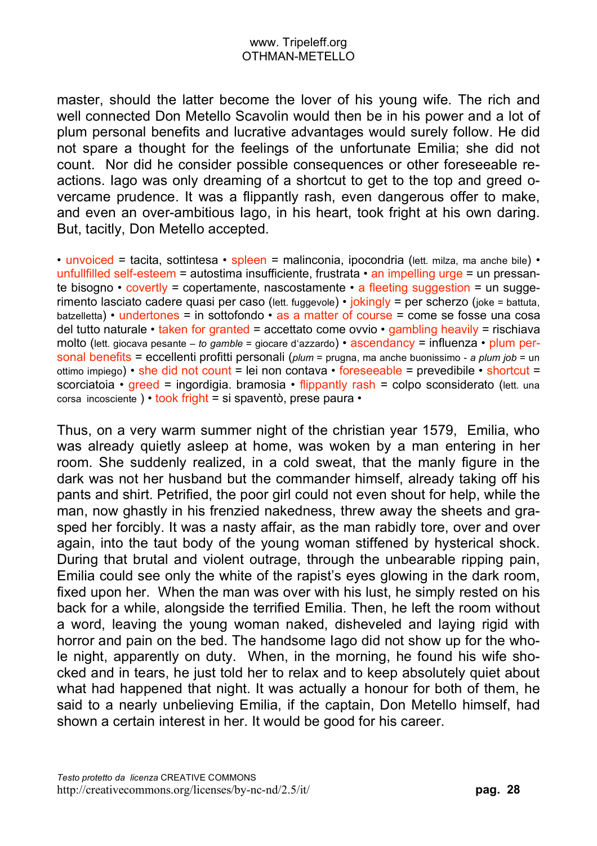master, should the latter become the lover of his young wife. The rich and well connected Don Metello Scavolin would then be in his power and a lot of plum personal benefits and lucrative advantages would surely follow. He did not spare a thought for the feelings of the unfortunate Emilia; she did not count. Nor did he consider possible consequences or other foreseeable reactions. Iago was only dreaming of a shortcut to get to the top and greed overcame prudence. It was a flippantly rash, even dangerous offer to make, and even an over-ambitious Iago, in his heart, took fright at his own daring. But, tacitly, Don Metello accepted.

• unvoiced = tacita, sottintesa • spleen = malinconia, ipocondria (lett. milza, ma anche bile) • unfullfilled self-esteem = autostima insufficiente, frustrata  $\cdot$  an impelling urge = un pressante bisogno  $\cdot$  covertly = copertamente, nascostamente  $\cdot$  a fleeting suggestion = un suggerimento lasciato cadere quasi per caso (lett. fuggevole) • jokingly = per scherzo (joke = battuta, batzelletta) • undertones = in sottofondo • as a matter of course = come se fosse una cosa del tutto naturale • taken for granted = accettato come ovvio • gambling heavily = rischiava molto (lett. giocava pesante – *to gamble* = giocare d'azzardo) • ascendancy = influenza • plum personal benefits = eccellenti profitti personali (*plum* = prugna, ma anche buonissimo - *a plum job* = un ottimo impiego) • she did not count = lei non contava • foreseeable = prevedibile • shortcut = scorciatoia • greed = ingordigia. bramosia • flippantly rash = colpo sconsiderato (lett. una corsa incosciente ) • took fright = si spaventò, prese paura •

Thus, on a very warm summer night of the christian year 1579, Emilia, who was already quietly asleep at home, was woken by a man entering in her room. She suddenly realized, in a cold sweat, that the manly figure in the dark was not her husband but the commander himself, already taking off his pants and shirt. Petrified, the poor girl could not even shout for help, while the man, now ghastly in his frenzied nakedness, threw away the sheets and grasped her forcibly. It was a nasty affair, as the man rabidly tore, over and over again, into the taut body of the young woman stiffened by hysterical shock. During that brutal and violent outrage, through the unbearable ripping pain, Emilia could see only the white of the rapist's eyes glowing in the dark room, fixed upon her. When the man was over with his lust, he simply rested on his back for a while, alongside the terrified Emilia. Then, he left the room without a word, leaving the young woman naked, disheveled and laying rigid with horror and pain on the bed. The handsome Iago did not show up for the whole night, apparently on duty. When, in the morning, he found his wife shocked and in tears, he just told her to relax and to keep absolutely quiet about what had happened that night. It was actually a honour for both of them, he said to a nearly unbelieving Emilia, if the captain, Don Metello himself, had shown a certain interest in her. It would be good for his career.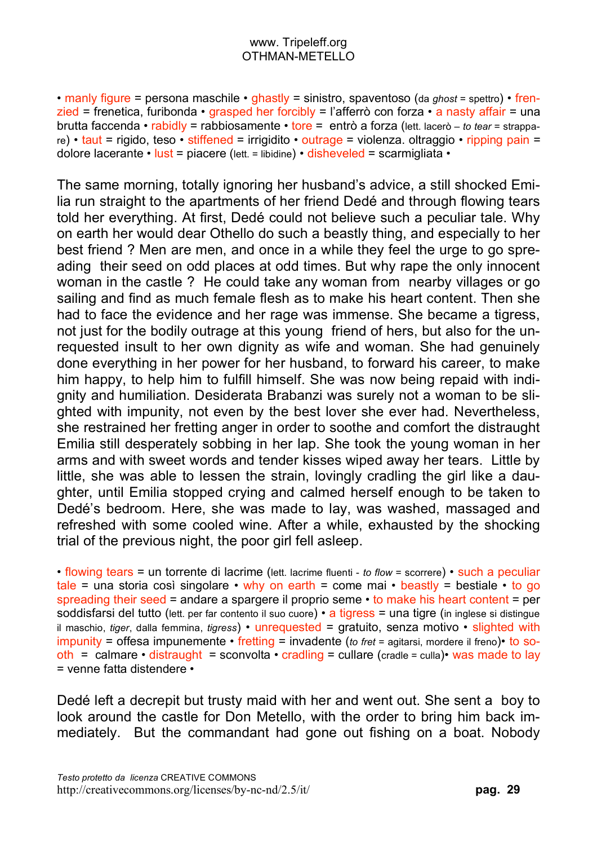• manly figure = persona maschile • ghastly = sinistro, spaventoso (da *ghost* = spettro) • frenzied = frenetica, furibonda • grasped her forcibly = l'afferrò con forza • a nasty affair = una brutta faccenda • rabidly = rabbiosamente • tore = entrò a forza (lett. lacerò – *to tear* = strappare) • taut = rigido, teso • stiffened = irrigidito • outrage = violenza. oltraggio • ripping pain = dolore lacerante • lust = piacere (lett. = libidine) • disheveled = scarmigliata •

The same morning, totally ignoring her husband's advice, a still shocked Emilia run straight to the apartments of her friend Dedé and through flowing tears told her everything. At first, Dedé could not believe such a peculiar tale. Why on earth her would dear Othello do such a beastly thing, and especially to her best friend ? Men are men, and once in a while they feel the urge to go spreading their seed on odd places at odd times. But why rape the only innocent woman in the castle ? He could take any woman from nearby villages or go sailing and find as much female flesh as to make his heart content. Then she had to face the evidence and her rage was immense. She became a tigress, not just for the bodily outrage at this young friend of hers, but also for the unrequested insult to her own dignity as wife and woman. She had genuinely done everything in her power for her husband, to forward his career, to make him happy, to help him to fulfill himself. She was now being repaid with indignity and humiliation. Desiderata Brabanzi was surely not a woman to be slighted with impunity, not even by the best lover she ever had. Nevertheless, she restrained her fretting anger in order to soothe and comfort the distraught Emilia still desperately sobbing in her lap. She took the young woman in her arms and with sweet words and tender kisses wiped away her tears. Little by little, she was able to lessen the strain, lovingly cradling the girl like a daughter, until Emilia stopped crying and calmed herself enough to be taken to Dedé's bedroom. Here, she was made to lay, was washed, massaged and refreshed with some cooled wine. After a while, exhausted by the shocking trial of the previous night, the poor girl fell asleep.

• flowing tears = un torrente di lacrime (lett. lacrime fluenti - *to flow* = scorrere) • such a peculiar tale = una storia così singolare  $\cdot$  why on earth = come mai  $\cdot$  beastly = bestiale  $\cdot$  to go spreading their seed = andare a spargere il proprio seme  $\cdot$  to make his heart content = per soddisfarsi del tutto (lett. per far contento il suo cuore) • a tigress = una tigre (in inglese si distingue il maschio, *tiger*, dalla femmina, *tigress*) • unrequested = gratuito, senza motivo • slighted with impunity = offesa impunemente • fretting = invadente (*to fret* = agitarsi, mordere il freno)• to sooth = calmare • distraught = sconvolta • cradling = cullare (cradle = culla) • was made to lay = venne fatta distendere •

Dedé left a decrepit but trusty maid with her and went out. She sent a boy to look around the castle for Don Metello, with the order to bring him back immediately. But the commandant had gone out fishing on a boat. Nobody